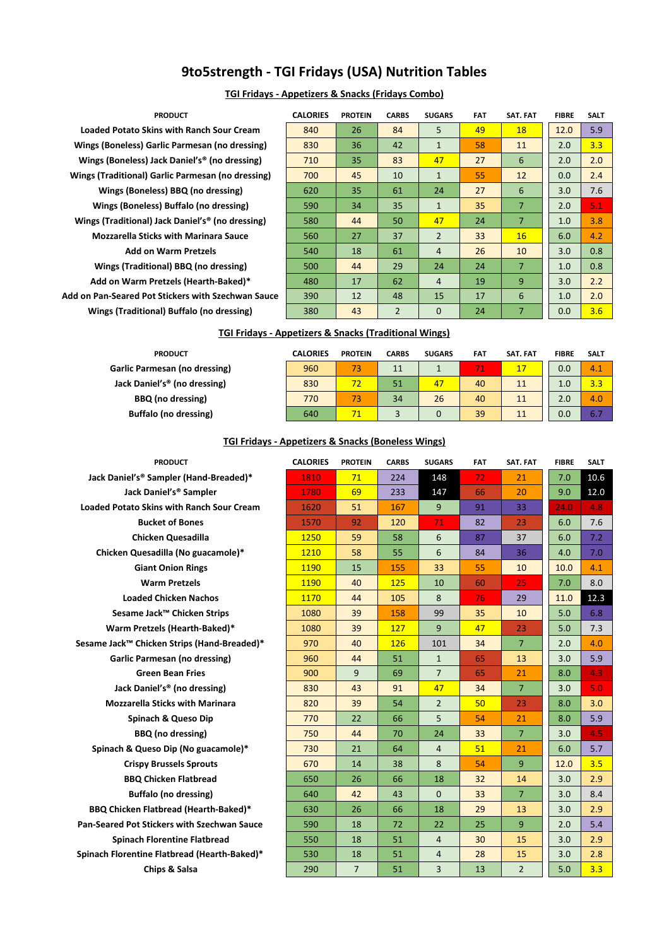# **9to5strength - TGI Fridays (USA) Nutrition Tables**

# **TGI Fridays - Appetizers & Snacks (Fridays Combo)**

| <b>PRODUCT</b>                                               | <b>CALORIES</b> | <b>PROTEIN</b> | <b>CARBS</b>   | <b>SUGARS</b>  | <b>FAT</b> | SAT. FAT       | <b>FIBRE</b> | <b>SALT</b> |
|--------------------------------------------------------------|-----------------|----------------|----------------|----------------|------------|----------------|--------------|-------------|
| <b>Loaded Potato Skins with Ranch Sour Cream</b>             | 840             | 26             | 84             | 5              | 49         | 18             | 12.0         | 5.9         |
| Wings (Boneless) Garlic Parmesan (no dressing)               | 830             | 36             | 42             | $\mathbf{1}$   | 58         | 11             | 2.0          | 3.3         |
| Wings (Boneless) Jack Daniel's <sup>®</sup> (no dressing)    | 710             | 35             | 83             | 47             | 27         | 6              | 2.0          | 2.0         |
| Wings (Traditional) Garlic Parmesan (no dressing)            | 700             | 45             | 10             | $\mathbf{1}$   | 55         | 12             | 0.0          | 2.4         |
| Wings (Boneless) BBQ (no dressing)                           | 620             | 35             | 61             | 24             | 27         | 6              | 3.0          | 7.6         |
| Wings (Boneless) Buffalo (no dressing)                       | 590             | 34             | 35             | $\mathbf{1}$   | 35         | $\overline{7}$ | 2.0          | 5.1         |
| Wings (Traditional) Jack Daniel's <sup>®</sup> (no dressing) | 580             | 44             | 50             | 47             | 24         | $\overline{7}$ | 1.0          | 3.8         |
| <b>Mozzarella Sticks with Marinara Sauce</b>                 | 560             | 27             | 37             | $\overline{2}$ | 33         | 16             | 6.0          | 4.2         |
| <b>Add on Warm Pretzels</b>                                  | 540             | 18             | 61             | 4              | 26         | 10             | 3.0          | 0.8         |
| Wings (Traditional) BBQ (no dressing)                        | 500             | 44             | 29             | 24             | 24         | $\overline{7}$ | 1.0          | 0.8         |
| Add on Warm Pretzels (Hearth-Baked)*                         | 480             | 17             | 62             | 4              | 19         | 9              | 3.0          | 2.2         |
| Add on Pan-Seared Pot Stickers with Szechwan Sauce           | 390             | 12             | 48             | 15             | 17         | 6              | 1.0          | 2.0         |
| Wings (Traditional) Buffalo (no dressing)                    | 380             | 43             | $\overline{2}$ | 0              | 24         | $\overline{7}$ | 0.0          | 3.6         |

# **TGI Fridays - Appetizers & Snacks (Traditional Wings)**

| <b>PRODUCT</b>                           | <b>CALORIES</b> | <b>PROTEIN</b> | <b>CARBS</b> | <b>SUGARS</b> | <b>FAT</b> | SAT. FAT | <b>FIBRE</b> | <b>SALT</b> |
|------------------------------------------|-----------------|----------------|--------------|---------------|------------|----------|--------------|-------------|
| <b>Garlic Parmesan (no dressing)</b>     | 960             | 73             | 11           |               |            | 17       | 0.0          | 4.1         |
| Jack Daniel's <sup>®</sup> (no dressing) | 830             | 72             | 51           | 47            | 40         | 11       | 1.0          | 3.3         |
| <b>BBQ</b> (no dressing)                 | 770             | 73             | 34           | 26            | 40         | 11       | 2.0          | 4.0         |
| <b>Buffalo (no dressing)</b>             | 640             | 71             |              |               | 39         | 11       | 0.0          | 6.7         |

# **TGI Fridays - Appetizers & Snacks (Boneless Wings)**

| <b>CALORIES</b> | <b>PROTEIN</b> | <b>CARBS</b> | <b>SUGARS</b>  | FAT | SAT. FAT       | <b>FIBRE</b> | SALT |
|-----------------|----------------|--------------|----------------|-----|----------------|--------------|------|
| 1810            | 71             | 224          | 148            | 72  | 21             | 7.0          | 10.6 |
| 1780            | 69             | 233          | 147            | 66  | 20             | 9.0          | 12.0 |
| 1620            | 51             | 167          | 9              | 91  | 33             | 24.0         | 4.8  |
| 1570            | 92             | 120          | 71             | 82  | 23             | 6.0          | 7.6  |
| 1250            | 59             | 58           | 6              | 87  | 37             | 6.0          | 7.2  |
| 1210            | 58             | 55           | 6              | 84  | 36             | 4.0          | 7.0  |
| 1190            | 15             | 155          | 33             | 55  | 10             | 10.0         | 4.1  |
| 1190            | 40             | 125          | 10             | 60  | 25             | 7.0          | 8.0  |
| 1170            | 44             | 105          | 8              | 76  | 29             | 11.0         | 12.3 |
| 1080            | 39             | 158          | 99             | 35  | 10             | 5.0          | 6.8  |
| 1080            | 39             | 127          | 9              | 47  | 23             | 5.0          | 7.3  |
| 970             | 40             | 126          | 101            | 34  | $\overline{7}$ | 2.0          | 4.0  |
| 960             | 44             | 51           | $\mathbf{1}$   | 65  | 13             | 3.0          | 5.9  |
| 900             | 9              | 69           | $\overline{7}$ | 65  | 21             | 8.0          | 4.3  |
| 830             | 43             | 91           | 47             | 34  | $\overline{7}$ | 3.0          | 5.0  |
| 820             | 39             | 54           | $\overline{2}$ | 50  | 23             | 8.0          | 3.0  |
| 770             | 22             | 66           | 5              | 54  | 21             | 8.0          | 5.9  |
| 750             | 44             | 70           | 24             | 33  | $\overline{7}$ | 3.0          | 4.5  |
| 730             | 21             | 64           | $\overline{4}$ | 51  | 21             | 6.0          | 5.7  |
| 670             | 14             | 38           | 8              | 54  | 9              | 12.0         | 3.5  |
| 650             | 26             | 66           | 18             | 32  | 14             | 3.0          | 2.9  |
| 640             | 42             | 43           | $\Omega$       | 33  | $\overline{7}$ | 3.0          | 8.4  |
| 630             | 26             | 66           | 18             | 29  | 13             | 3.0          | 2.9  |
| 590             | 18             | 72           | 22             | 25  | 9              | 2.0          | 5.4  |
| 550             | 18             | 51           | $\overline{4}$ | 30  | 15             | 3.0          | 2.9  |
| 530             | 18             | 51           | $\overline{4}$ | 28  | 15             | 3.0          | 2.8  |
| 290             | $\overline{7}$ | 51           | 3              | 13  | $\overline{2}$ | 5.0          | 3.3  |
|                 |                |              |                |     |                |              |      |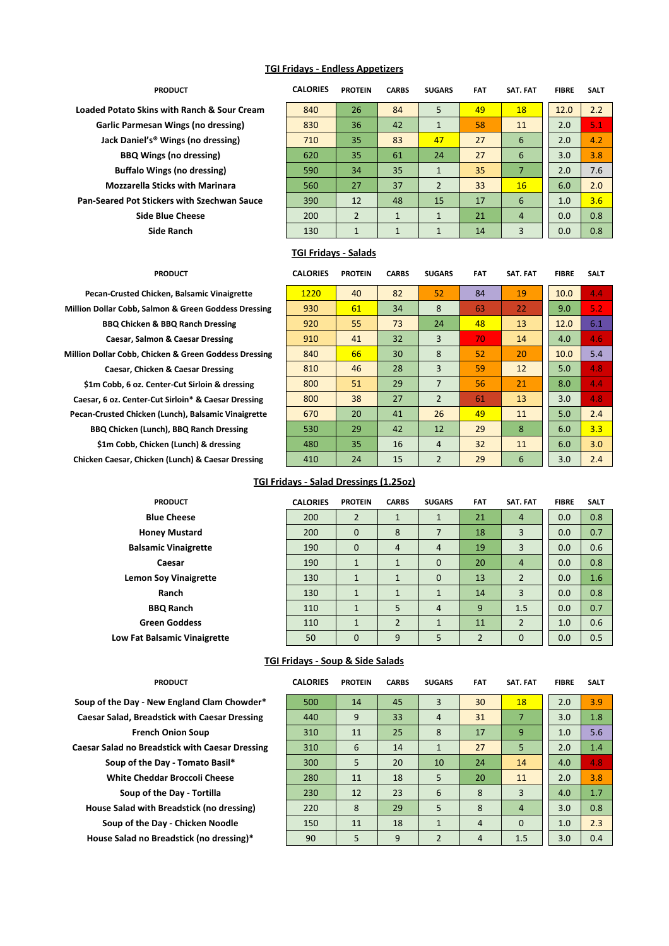### **TGI Fridays - Endless Appetizers**

| <b>PRODUCT</b>                                 | <b>CALORIES</b>             | <b>PROTEIN</b> | <b>CARBS</b> | <b>SUGARS</b>  | <b>FAT</b> | SAT. FAT       | <b>FIBRE</b> | <b>SALT</b> |
|------------------------------------------------|-----------------------------|----------------|--------------|----------------|------------|----------------|--------------|-------------|
| Loaded Potato Skins with Ranch & Sour Cream    | 840                         | 26             | 84           | 5              | 49         | 18             | 12.0         | 2.2         |
| Garlic Parmesan Wings (no dressing)            | 830                         | 36             | 42           | $\mathbf{1}$   | 58         | 11             | 2.0          | 5.1         |
| Jack Daniel's <sup>®</sup> Wings (no dressing) | 710                         | 35             | 83           | 47             | 27         | 6              | 2.0          | 4.2         |
| <b>BBQ Wings (no dressing)</b>                 | 620                         | 35             | 61           | 24             | 27         | 6              | 3.0          | 3.8         |
| <b>Buffalo Wings (no dressing)</b>             | 590                         | 34             | 35           | $\mathbf{1}$   | 35         | 7              | 2.0          | 7.6         |
| <b>Mozzarella Sticks with Marinara</b>         | 560                         | 27             | 37           | $\overline{2}$ | 33         | 16             | 6.0          | 2.0         |
| Pan-Seared Pot Stickers with Szechwan Sauce    | 390                         | 12             | 48           | 15             | 17         | 6              | 1.0          | 3.6         |
| <b>Side Blue Cheese</b>                        | 200                         | $\overline{2}$ | $\mathbf{1}$ | $\mathbf{1}$   | 21         | $\overline{4}$ | 0.0          | 0.8         |
| Side Ranch                                     | 130                         | $\mathbf{1}$   | $\mathbf{1}$ | $\mathbf{1}$   | 14         | 3              | 0.0          | 0.8         |
|                                                | <b>TGI Fridays - Salads</b> |                |              |                |            |                |              |             |

**Pecan-Crusted Chicken, Balsamic Vinaigrette Million Dollar Cobb, Salmon & Green Goddess Dressing BBQ Chicken & BBQ Ranch Dressing Caesar, Salmon & Caesar Dressing Million Dollar Cobb, Chicken & Green Goddess Dressing Caesar, Chicken & Caesar Dressing** \$1m Cobb, 6 oz. Center-Cut Sirloin & dressing **Caesar, 6 oz. Center-Cut Sirloin\* & Caesar Dressing** Pecan-Crusted Chicken (Lunch), Balsamic Vinaigrette **BBQ Chicken (Lunch), BBQ Ranch Dressing** \$1m Cobb, Chicken (Lunch) & dressing **Chicken Caesar, Chicken (Lunch) & Caesar Dressing** 

> **Honey Mustard Balsamic Vinaigrette**

**Lemon Soy Vinaigrette** 

**Green Goddess Low Fat Balsamic Vinaigrette** 

| <b>PRODUCT</b>                 | <b>CALORIES</b> | <b>PROTEIN</b> | <b>CARBS</b> | <b>SUGARS</b>  | <b>FAT</b> | SAT. FAT | <b>FIBRE</b> | <b>SALT</b> |
|--------------------------------|-----------------|----------------|--------------|----------------|------------|----------|--------------|-------------|
| cken, Balsamic Vinaigrette     | 1220            | 40             | 82           | 52             | 84         | 19       | 10.0         | 4.4         |
| mon & Green Goddess Dressing   | 930             | 61             | 34           | 8              | 63         | 22       | 9.0          | 5.2         |
| & BBQ Ranch Dressing           | 920             | 55             | 73           | 24             | 48         | 13       | 12.0         | 6.1         |
| on & Caesar Dressing           | 910             | 41             | 32           | 3              | 70         | 14       | 4.0          | 4.6         |
| cken & Green Goddess Dressing  | 840             | 66             | 30           | 8              | 52         | 20       | 10.0         | 5.4         |
| en & Caesar Dressing           | 810             | 46             | 28           | 3              | 59         | 12       | 5.0          | 4.8         |
| nter-Cut Sirloin & dressing    | 800             | 51             | 29           | $\overline{7}$ | 56         | 21       | 8.0          | 4.4         |
| ut Sirloin* & Caesar Dressing: | 800             | 38             | 27           | $\overline{2}$ | 61         | 13       | 3.0          | 4.8         |
| (Lunch), Balsamic Vinaigrette  | 670             | 20             | 41           | 26             | 49         | 11       | 5.0          | 2.4         |
| nch), BBQ Ranch Dressing       | 530             | 29             | 42           | 12             | 29         | 8        | 6.0          | 3.3         |
| ken (Lunch) & dressing:        | 480             | 35             | 16           | $\overline{4}$ | 32         | 11       | 6.0          | 3.0         |
| en (Lunch) & Caesar Dressing   | 410             | 24             | 15           | $\overline{2}$ | 29         | 6        | 3.0          | 2.4         |
|                                |                 |                |              |                |            |          |              |             |

#### **TGI Fridays - Salad Dressings (1.25oz)**

| <b>PRODUCT</b>              | <b>CALORIES</b> | <b>PROTEIN</b> | <b>CARBS</b>   | <b>SUGARS</b>  | <b>FAT</b>     | <b>SAT. FAT</b> | <b>FIBRE</b> | <b>SALT</b> |
|-----------------------------|-----------------|----------------|----------------|----------------|----------------|-----------------|--------------|-------------|
| <b>Blue Cheese</b>          | 200             | 2              | 1              | $\mathbf{1}$   | 21             | $\overline{4}$  | 0.0          | 0.8         |
| oney Mustard                | 200             | $\Omega$       | 8              |                | 18             | 3               | 0.0          | 0.7         |
| amic Vinaigrette            | 190             | $\Omega$       | $\overline{4}$ | $\overline{4}$ | 19             | 3               | 0.0          | 0.6         |
| Caesar                      | 190             | $\mathbf{1}$   | $\mathbf{1}$   | $\Omega$       | 20             | $\overline{4}$  | 0.0          | 0.8         |
| n Soy Vinaigrette           | 130             | $\mathbf{1}$   | $\mathbf{1}$   | $\Omega$       | 13             | $\overline{2}$  | 0.0          | 1.6         |
| Ranch                       | 130             | $\mathbf{1}$   | $\mathbf{1}$   | $\mathbf{1}$   | 14             | 3               | 0.0          | 0.8         |
| <b>BBQ Ranch</b>            | 110             | $\mathbf{1}$   | 5              | $\overline{4}$ | 9              | 1.5             | 0.0          | 0.7         |
| reen Goddess                | 110             | $\mathbf{1}$   | $\overline{2}$ | $\mathbf{1}$   | 11             | 2               | 1.0          | 0.6         |
| <b>Balsamic Vinaigrette</b> | 50              | $\mathbf 0$    | 9              | 5              | $\overline{2}$ | $\mathbf{0}$    | 0.0          | 0.5         |

#### **TGI Fridays - Soup & Side Salads**

| PRODUCT |  |  |
|---------|--|--|
|         |  |  |

Soup of the Day - New England Clam Chowder\* **Caesar Salad, Breadstick with Caesar Dressing French Onion Soup Caesar Salad no Breadstick with Caesar Dressing** Soup of the Day - Tomato Basil\* **White Cheddar Broccoli Cheese Soup of the Day - Tortilla House Salad with Breadstick (no dressing) Soup of the Day - Chicken Noodle House Salad no Breadstick (no dressing)\*** 

| <b>PRODUCT</b>                  | <b>CALORIES</b> | <b>PROTEIN</b> | <b>CARBS</b> | <b>SUGARS</b>  | <b>FAT</b>     | SAT. FAT       | <b>FIBRE</b> | <b>SALT</b> |
|---------------------------------|-----------------|----------------|--------------|----------------|----------------|----------------|--------------|-------------|
| ew England Clam Chowder*        | 500             | 14             | 45           | 3              | 30             | 18             | 2.0          | 3.9         |
| dstick with Caesar Dressing     | 440             | 9              | 33           | $\overline{4}$ | 31             | 7              | 3.0          | 1.8         |
| h Onion Soup                    | 310             | 11             | 25           | 8              | 17             | 9              | 1.0          | 5.6         |
| adstick with Caesar Dressing    | 310             | 6              | 14           | $\mathbf{1}$   | 27             | 5 <sup>5</sup> | 2.0          | 1.4         |
| Day - Tomato Basil*             | 300             | 5              | 20           | 10             | 24             | 14             | 4.0          | 4.8         |
| dar Broccoli Cheese             | 280             | 11             | 18           | 5              | 20             | 11             | 2.0          | 3.8         |
| the Day - Tortilla              | 230             | 12             | 23           | 6              | 8              | 3              | 4.0          | 1.7         |
| <b>Breadstick (no dressing)</b> | 220             | 8              | 29           | 5              | 8              | $\overline{4}$ | 3.0          | 0.8         |
| <b>Day - Chicken Noodle</b>     | 150             | 11             | 18           | $\mathbf{1}$   | $\overline{4}$ | $\Omega$       | 1.0          | 2.3         |
| Breadstick (no dressing)*       | 90              | 5              | 9            | 2              | $\overline{4}$ | 1.5            | 3.0          | 0.4         |
|                                 |                 |                |              |                |                |                |              |             |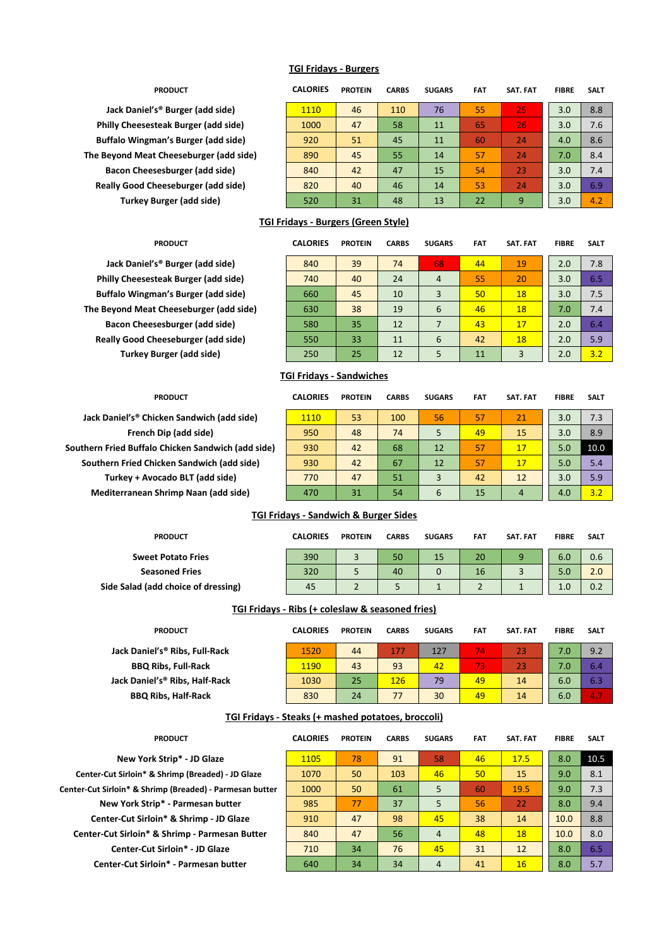### **TGI Fridays - Burgers**

# **PRODUCT CALORIES PROTEIN CARBS SUGARS FAT SAT. FAT FIBRE SALT Jack Daniel's® Burger (add side)** 1110 46 110 76 55 25 3.0 8.8 **Philly Cheesesteak Burger (add side)** 1000 47 58 11 65 26 3.0 7.6 **Buffalo Wingman's Burger (add side)** 920 51 45 11 60 24 4.0 8.6 **The Beyond Meat Cheeseburger (add side)** 890 45 55 14 57 24 7.0 8.4 **Bacon Cheesesburger (add side)** 840 42 47 15 54 23 3.0 7.4 **Really Good Cheeseburger (add side)** 820 40 46 14 53 24 3.0 6.9 **Turkey Burger (add side)** 520 31 48 13 22 9 3.0 4.2

## **TGI Fridays - Burgers (Green Style)**

| <b>PRODUCT</b>                   | <b>CALORIES</b> | <b>PROTEIN</b> | <b>CARBS</b> | <b>SUGARS</b>  | <b>FAT</b> | <b>SAT. FAT</b> | <b>FIBRE</b> | <b>SALT</b> |
|----------------------------------|-----------------|----------------|--------------|----------------|------------|-----------------|--------------|-------------|
| s <sup>®</sup> Burger (add side) | 840             | 39             | 74           | 68             | 44         | 19              | 2.0          | 7.8         |
| teak Burger (add side)           | 740             | 40             | 24           | $\overline{4}$ | 55         | 20              | 3.0          | 6.5         |
| an's Burger (add side)           | 660             | 45             | 10           | 3              | 50         | 18              | 3.0          | 7.5         |
| t Cheeseburger (add side)        | 630             | 38             | 19           | 6              | 46         | 18              | 7.0          | 7.4         |
| sesburger (add side)             | 580             | 35             | 12           | 7              | 43         | 17              | 2.0          | 6.4         |
| neeseburger (add side)           | 550             | 33             | 11           | 6              | 42         | 18              | 2.0          | 5.9         |
| <b>Surger (add side)</b>         | 250             | 25             | 12           | 5              | 11         | 3               | 2.0          | 3.2         |

#### **TGI Fridays - Sandwiches**

| PRODUCT                       | <b>CALORIES</b> | <b>PROTEIN</b> | <b>CARBS</b> | <b>SUGARS</b> | <b>FAT</b> | SAT. FAT | <b>FIBRE</b> | <b>SALT</b> |
|-------------------------------|-----------------|----------------|--------------|---------------|------------|----------|--------------|-------------|
| cken Sandwich (add side)      | <b>1110</b>     | 53             | 100          | 56            | 57         | 21       | 3.0          | 7.3         |
| Dip (add side)                | 950             | 48             | 74           | 5             | 49         | 15       | 3.0          | 8.9         |
| o Chicken Sandwich (add side) | 930             | 42             | 68           | 12            | 57         | 17       | 5.0          | 10.0        |
| icken Sandwich (add side)     | 930             | 42             | 67           | 12            | 57         | 17       | 5.0          | 5.4         |
| ocado BLT (add side)          | 770             | 47             | 51           | 3             | 42         | 12       | 3.0          | 5.9         |
| Shrimp Naan (add side)        | 470             | 31             | 54           | 6             | 15         | 4        | 4.0          | 3.2         |

### **TGI Fridays - Sandwich & Burger Sides**

| <b>CALORIES</b> | <b>PROTEIN</b> | <b>CARBS</b> | <b>SUGARS</b> | <b>FAT</b> | SAT. FAT | <b>FIBRE</b> | <b>SALT</b> |
|-----------------|----------------|--------------|---------------|------------|----------|--------------|-------------|
| 390             |                | 50           | 15            | 20         |          | 6.0          | 0.6         |
| 320             |                | 40           |               | 16         |          | 5.0          | 2.0         |
| 45              |                |              |               |            |          | 1.0          | 0.2         |
|                 |                |              |               |            |          |              |             |

## **TGI Fridays - Ribs (+ coleslaw & seasoned fries)**

| <b>PRODUCT</b>                 | <b>CALORIES</b> | <b>PROTEIN</b> | <b>CARBS</b> | <b>SUGARS</b> | <b>FAT</b> | <b>SAT. FAT</b> | <b>FIBRE</b> | <b>SALT</b> |
|--------------------------------|-----------------|----------------|--------------|---------------|------------|-----------------|--------------|-------------|
| Jack Daniel's® Ribs, Full-Rack | 1520            | 44             | 177          | 127           | 74         | 23              | 7.0          | 9.2         |
| <b>BBQ Ribs, Full-Rack</b>     | 1190            | 43             | 93           | 42            | 73'        | 23              | 7.0          | 6.4         |
| Jack Daniel's® Ribs, Half-Rack | 1030            | 25             | 126          | 79            | 49         | 14              | 6.0          | 6.3         |
| <b>BBQ Ribs, Half-Rack</b>     | 830             | 24             | 77           | 30            | 49         | 14              | 6.0          | 4.7         |

#### **TGI Fridays - Steaks (+ mashed potatoes, broccoli)**

| <b>PRODUCT</b>                                           | <b>CALORIES</b> | <b>PROTEIN</b> | <b>CARBS</b> | <b>SUGARS</b>  | <b>FAT</b> | SAT. FAT | <b>FIBRE</b> | <b>SALT</b> |
|----------------------------------------------------------|-----------------|----------------|--------------|----------------|------------|----------|--------------|-------------|
| New York Strip* - JD Glaze                               | 1105            | 78             | 91           | 58             | 46         | 17.5     | 8.0          | 10.5        |
| Center-Cut Sirloin* & Shrimp (Breaded) - JD Glaze        | 1070            | 50             | 103          | 46             | 50         | 15       | 9.0          | 8.1         |
| Center-Cut Sirloin* & Shrimp (Breaded) - Parmesan butter | 1000            | 50             | 61           | 5              | 60         | 19.5     | 9.0          | 7.3         |
| New York Strip* - Parmesan butter                        | 985             | 77             | 37           | 5              | 56         | 22       | 8.0          | 9.4         |
| Center-Cut Sirloin* & Shrimp - JD Glaze                  | 910             | 47             | 98           | 45             | 38         | 14       | 10.0         | 8.8         |
| Center-Cut Sirloin* & Shrimp - Parmesan Butter           | 840             | 47             | 56           | $\overline{4}$ | 48         | 18       | 10.0         | 8.0         |
| Center-Cut Sirloin* - JD Glaze                           | 710             | 34             | 76           | 45             | 31         | 12       | 8.0          | 6.5         |
| Center-Cut Sirloin* - Parmesan butter                    | 640             | 34             | 34           | $\overline{4}$ | 41         | 16       | 8.0          | 5.7         |

# Jack Daniel's® Burger (add side) **Philly Cheesesteak Burger (add side) Buffalo Wingman's Burger (add side) The Beyond Meat Cheeseburger (add side) Bacon Cheesesburger (add side)**

**Southern Fried Buffalo Chicken Sandwich (add side) Southern Fried Chicken Sandwich (add side) Turkey + Avocado BLT (add side) Mediterranean Shrimp Naan (add side)** 

**Jack Daniel's® Chicken Sandwich (add side) French Dip (add side)** 

**Really Good Cheeseburger (add side)** 

**Turkey Burger (add side)**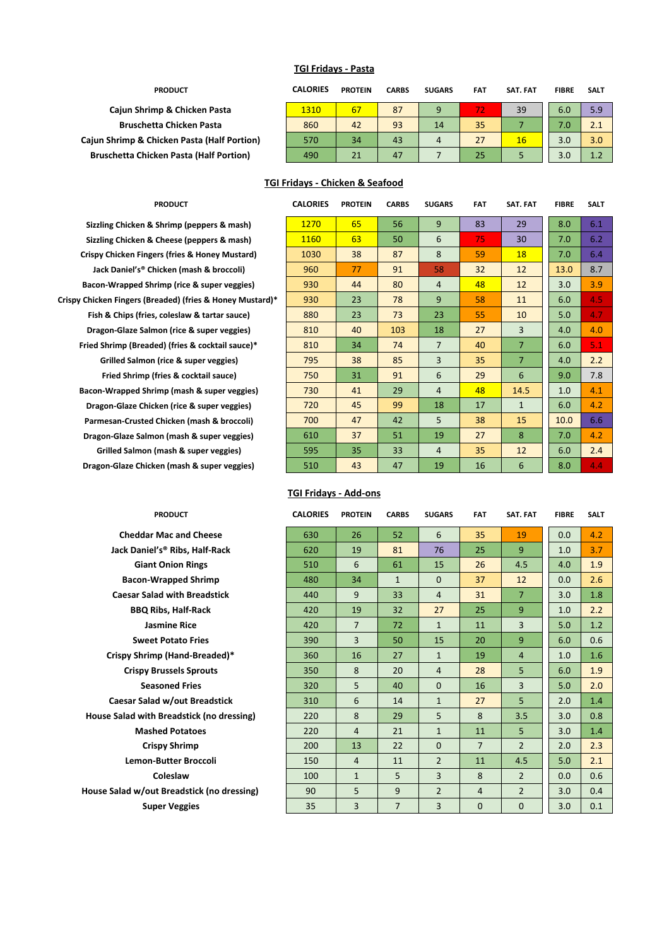### **TGI Fridays - Pasta**

| <b>PRODUCT</b>                                 | <b>CALORIES</b> | <b>PROTEIN</b> | <b>CARBS</b> | <b>SUGARS</b> | <b>FAT</b> | SAT. FAT | <b>FIBRE</b> | <b>SALT</b> |
|------------------------------------------------|-----------------|----------------|--------------|---------------|------------|----------|--------------|-------------|
| Cajun Shrimp & Chicken Pasta                   | 1310            | 67             | 87           | 9             |            | 39       | 6.0          | 5.9         |
| <b>Bruschetta Chicken Pasta</b>                | 860             | 42             | 93           | 14            | 35         |          | 7.0          | 2.1         |
| Cajun Shrimp & Chicken Pasta (Half Portion)    | 570             | 34             | 43           | 4             | 27         | 16       | 3.0          | 3.0         |
| <b>Bruschetta Chicken Pasta (Half Portion)</b> | 490             | 21             | 47           |               | 25         |          | 3.0          |             |

### **TGI Fridays - Chicken & Seafood**

**Sizzling Chicken & Shrimp (peppers & mash) Sizzling Chicken & Cheese (peppers & mash) Crispy Chicken Fingers (fries & Honey Mustard) Jack Daniel's® Chicken (mash & broccoli) Bacon-Wrapped Shrimp (rice & super veggies) Crispy Chicken Fingers (Breaded) (fries & Honey Mustard)\* Fish & Chips (fries, coleslaw & tartar sauce) Dragon-Glaze Salmon (rice & super veggies) Fried Shrimp (Breaded) (fries & cocktail sauce)\* Grilled Salmon (rice & super veggies) Fried Shrimp (fries & cocktail sauce) Bacon-Wrapped Shrimp (mash & super veggies) Dragon-Glaze Chicken (rice & super veggies)** Parmesan-Crusted Chicken (mash & broccoli) **Dragon-Glaze Salmon (mash & super veggies) Grilled Salmon (mash & super veggies) Dragon-Glaze Chicken (mash & super veggies)** 

# **Cheddar Mac and Cheese** Jack Daniel's<sup>®</sup> Ribs, Half-Rack **Giant Onion Rings Bacon-Wrapped Shrimp Caesar Salad with Breadstick BBQ Ribs, Half-Rack Sweet Potato Fries Crispy Shrimp (Hand-Breaded)\* Crispy Brussels Sprouts Seasoned Fries Caesar Salad w/out Breadstick House Salad with Breadstick (no dressing) Mashed Potatoes Lemon-Butter Broccoli House Salad w/out Breadstick (no dressing) Super Veggies**

| <b>PRODUCT</b>                  | <b>CALORIES</b> | <b>PROTEIN</b> | <b>CARBS</b> | <b>SUGARS</b>  | <b>FAT</b> | SAT. FAT       | <b>FIBRE</b> | <b>SALT</b> |
|---------------------------------|-----------------|----------------|--------------|----------------|------------|----------------|--------------|-------------|
| Shrimp (peppers & mash)         | 1270            | 65             | 56           | 9              | 83         | 29             | 8.0          | 6.1         |
| Cheese (peppers & mash)         | 1160            | 63             | 50           | 6              | 75.        | 30             | 7.0          | 6.2         |
| ers (fries & Honey Mustard)     | 1030            | 38             | 87           | 8              | 59         | 18             | 7.0          | 6.4         |
| nicken (mash & broccoli)        | 960             | 77             | 91           | 58             | 32         | 12             | 13.0         | 8.7         |
| rimp (rice & super veggies)     | 930             | 44             | 80           | $\overline{4}$ | 48         | 12             | 3.0          | 3.9         |
| eaded) (fries & Honey Mustard)* | 930             | 23             | 78           | 9              | 58         | 11             | 6.0          | 4.5         |
| , coleslaw & tartar sauce)      | 880             | 23             | 73           | 23             | 55         | 10             | 5.0          | 4.7         |
| non (rice & super veggies)      | 810             | 40             | 103          | 18             | 27         | 3              | 4.0          | 4.0         |
| ed) (fries & cocktail sauce)*   | 810             | 34             | 74           | $\overline{7}$ | 40         | $\overline{7}$ | 6.0          | 5.1         |
| (rice & super veggies)          | 795             | 38             | 85           | $\overline{3}$ | 35         | $\overline{7}$ | 4.0          | 2.2         |
| fries & cocktail sauce)         | 750             | 31             | 91           | 6              | 29         | 6              | 9.0          | 7.8         |
| imp (mash & super veggies)      | 730             | 41             | 29           | $\overline{4}$ | 48         | 14.5           | 1.0          | 4.1         |
| ken (rice & super veggies)      | 720             | 45             | 99           | 18             | 17         | $\mathbf{1}$   | 6.0          | 4.2         |
| Chicken (mash & broccoli)       | 700             | 47             | 42           | 5              | 38         | 15             | 10.0         | 6.6         |
| on (mash & super veggies)       | 610             | 37             | 51           | 19             | 27         | 8              | 7.0          | 4.2         |
| (mash & super veggies)          | 595             | 35             | 33           | $\overline{4}$ | 35         | 12             | 6.0          | 2.4         |
| en (mash & super veggies)       | 510             | 43             | 47           | 19             | 16         | 6              | 8.0          | 4.4         |

#### **TGI Fridays - Add-ons**

| <b>PRODUCT</b>               | <b>CALORIES</b> | <b>PROTEIN</b> | <b>CARBS</b>   | <b>SUGARS</b>  | <b>FAT</b>     | SAT. FAT       | <b>FIBRE</b> | <b>SALT</b> |
|------------------------------|-----------------|----------------|----------------|----------------|----------------|----------------|--------------|-------------|
| dar Mac and Cheese           | 630             | 26             | 52             | 6              | 35             | 19             | 0.0          | 4.2         |
| nieľs® Ribs, Half-Rack       | 620             | 19             | 81             | 76             | 25             | 9              | 1.0          | 3.7         |
| ant Onion Rings              | 510             | 6              | 61             | 15             | 26             | 4.5            | 4.0          | 1.9         |
| n-Wrapped Shrimp             | 480             | 34             | $\mathbf{1}$   | $\Omega$       | 37             | 12             | 0.0          | 2.6         |
| Salad with Breadstick        | 440             | 9              | 33             | $\overline{4}$ | 31             | $\overline{7}$ | 3.0          | 1.8         |
| Q Ribs, Half-Rack            | 420             | 19             | 32             | 27             | 25             | 9              | 1.0          | 2.2         |
| <b>Jasmine Rice</b>          | 420             | $\overline{7}$ | 72             | $\mathbf{1}$   | 11             | $\overline{3}$ | 5.0          | 1.2         |
| eet Potato Fries             | 390             | 3              | 50             | 15             | 20             | 9              | 6.0          | 0.6         |
| rimp (Hand-Breaded)*         | 360             | 16             | 27             | $\mathbf{1}$   | 19             | $\overline{4}$ | 1.0          | 1.6         |
| y Brussels Sprouts           | 350             | 8              | 20             | $\overline{4}$ | 28             | 5              | 6.0          | 1.9         |
| Seasoned Fries               | 320             | 5              | 40             | $\mathbf{0}$   | 16             | 3              | 5.0          | 2.0         |
| alad w/out Breadstick        | 310             | 6              | 14             | $\mathbf{1}$   | 27             | 5              | 2.0          | 1.4         |
| ith Breadstick (no dressing) | 220             | 8              | 29             | 5              | 8              | 3.5            | 3.0          | 0.8         |
| ashed Potatoes               | 220             | $\overline{4}$ | 21             | $\mathbf{1}$   | 11             | 5              | 3.0          | 1.4         |
| Crispy Shrimp                | 200             | 13             | 22             | $\mathbf{0}$   | $\overline{7}$ | $\overline{2}$ | 2.0          | 2.3         |
| on-Butter Broccoli           | 150             | $\overline{4}$ | 11             | $\overline{2}$ | 11             | 4.5            | 5.0          | 2.1         |
| Coleslaw                     | 100             | $\mathbf{1}$   | 5              | $\overline{3}$ | 8              | $\overline{2}$ | 0.0          | 0.6         |
| out Breadstick (no dressing) | 90              | 5              | 9              | $\overline{2}$ | $\overline{4}$ | $\overline{2}$ | 3.0          | 0.4         |
| <b>Super Veggies</b>         | 35              | 3              | $\overline{7}$ | 3              | $\mathbf{0}$   | $\mathbf{0}$   | 3.0          | 0.1         |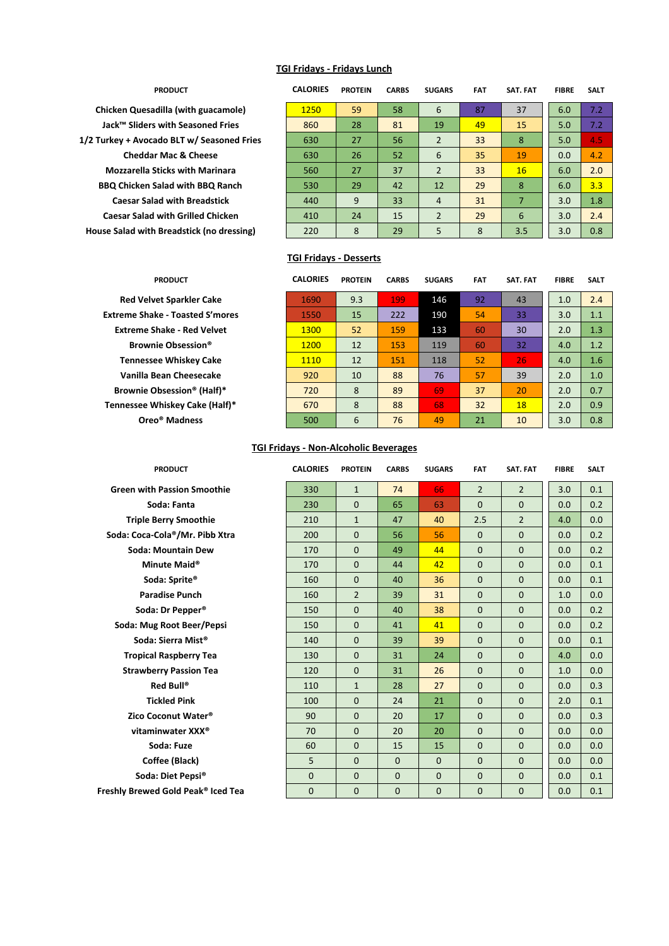### **TGI Fridays - Fridays Lunch**

**Chicken Quesadilla (with guacamole) Jack™ Sliders with Seasoned Fries 1/2 Turkey + Avocado BLT w/ Seasoned Fries Cheddar Mac & Cheese Mozzarella Sticks with Marinara BBQ Chicken Salad with BBQ Ranch Caesar Salad with Breadstick Caesar Salad with Grilled Chicken House Salad with Breadstick (no dressing)** 

> **Red Velvet Sparkler Cake Extreme Shake - Toasted S'mores Extreme Shake - Red Velvet Brownie Obsession<sup>®</sup> Tennessee Whiskey Cake Vanilla Bean Cheesecake Brownie Obsession® (Half)\*** Tennessee Whiskey Cake (Half)\* **Oreo® Madness**

| <b>PRODUCT</b>                  | <b>CALORIES</b> | <b>PROTEIN</b> | <b>CARBS</b> | <b>SUGARS</b>  | <b>FAT</b> | SAT. FAT | <b>FIBRE</b> | <b>SALT</b> |
|---------------------------------|-----------------|----------------|--------------|----------------|------------|----------|--------------|-------------|
| dilla (with guacamole)          | 1250            | 59             | 58           | 6              | 87         | 37       | 6.0          | 7.2         |
| with Seasoned Fries             | 860             | 28             | 81           | 19             | 49         | 15       | 5.0          | 7.2         |
| ado BLT w/ Seasoned Fries       | 630             | 27             | 56           | $\overline{2}$ | 33         | 8        | 5.0          | 4.5         |
| r Mac & Cheese                  | 630             | 26             | 52           | 6              | 35         | 19       | 0.0          | 4.2         |
| Sticks with Marinara            | 560             | 27             | 37           | $\overline{2}$ | 33         | 16       | 6.0          | 2.0         |
| Salad with BBQ Ranch            | 530             | 29             | 42           | 12             | 29         | 8        | 6.0          | 3.3         |
| ad with Breadstick              | 440             | 9              | 33           | $\overline{4}$ | 31         | 7        | 3.0          | 1.8         |
| with Grilled Chicken            | 410             | 24             | 15           | $\overline{2}$ | 29         | 6        | 3.0          | 2.4         |
| <b>Breadstick (no dressing)</b> | 220             | 8              | 29           | 5              | 8          | 3.5      | 3.0          | 0.8         |

#### **TGI Fridays - Desserts**

| <b>PRODUCT</b>            | <b>CALORIES</b> | <b>PROTEIN</b> | <b>CARBS</b> | <b>SUGARS</b> | <b>FAT</b> | SAT. FAT | <b>FIBRE</b> | <b>SALT</b> |
|---------------------------|-----------------|----------------|--------------|---------------|------------|----------|--------------|-------------|
| et Sparkler Cake          | 1690            | 9.3            | 199          | 146           | 92         | 43       | 1.0          | 2.4         |
| ke - Toasted S'mores      | 1550            | 15             | 222          | 190           | 54         | 33       | 3.0          | 1.1         |
| hake - Red Velvet         | 1300            | 52             | 159          | 133           | 60         | 30       | 2.0          | 1.3         |
| iie Obsession®            | <b>1200</b>     | 12             | 153          | 119           | 60         | 32       | 4.0          | 1.2         |
| ee Whiskey Cake           | 1110            | 12             | 151          | 118           | 52         | 26       | 4.0          | 1.6         |
| <b>Jean Cheesecake</b>    | 920             | 10             | 88           | 76            | 57         | 39       | 2.0          | 1.0         |
| <b>Dbsession® (Half)*</b> | 720             | 8              | 89           | 69            | 37         | 20       | 2.0          | 0.7         |
| Vhiskey Cake (Half)*      | 670             | 8              | 88           | 68            | 32         | 18       | 2.0          | 0.9         |
| o® Madness                | 500             | 6              | 76           | 49            | 21         | 10       | 3.0          | 0.8         |

## **TGI Fridays - Non-Alcoholic Beverages**

| <b>PRODUCT</b>          | <b>CALORIES</b> | <b>PROTEIN</b> | <b>CARBS</b> | <b>SUGARS</b>  | <b>FAT</b>     | <b>SAT. FAT</b> | <b>FIBRE</b> | <b>SALT</b> |
|-------------------------|-----------------|----------------|--------------|----------------|----------------|-----------------|--------------|-------------|
| vith Passion Smoothie   | 330             | $\mathbf{1}$   | 74           | 66             | $\overline{2}$ | $\overline{2}$  | 3.0          | 0.1         |
| Soda: Fanta             | 230             | $\mathbf{0}$   | 65           | 63             | $\Omega$       | $\mathbf{0}$    | 0.0          | 0.2         |
| le Berry Smoothie       | 210             | $\mathbf{1}$   | 47           | 40             | 2.5            | $\overline{2}$  | 4.0          | 0.0         |
| ca-Cola®/Mr. Pibb Xtra  | 200             | $\Omega$       | 56           | 56             | $\Omega$       | $\Omega$        | 0.0          | 0.2         |
| la: Mountain Dew        | 170             | $\mathbf{0}$   | 49           | 44             | $\mathbf{0}$   | $\overline{0}$  | 0.0          | 0.2         |
| Minute Maid®            | 170             | $\Omega$       | 44           | 42             | $\Omega$       | $\Omega$        | 0.0          | 0.1         |
| Soda: Sprite®           | 160             | $\mathbf{0}$   | 40           | 36             | $\Omega$       | $\Omega$        | 0.0          | 0.1         |
| Paradise Punch          | 160             | $\overline{2}$ | 39           | 31             | $\Omega$       | $\Omega$        | 1.0          | 0.0         |
| oda: Dr Pepper®         | 150             | $\mathbf{0}$   | 40           | 38             | $\Omega$       | $\Omega$        | 0.0          | 0.2         |
| Mug Root Beer/Pepsi     | 150             | $\mathbf{0}$   | 41           | 41             | $\mathbf{0}$   | $\mathbf{0}$    | 0.0          | 0.2         |
| da: Sierra Mist®        | 140             | $\mathbf{0}$   | 39           | 39             | $\mathbf{0}$   | $\overline{0}$  | 0.0          | 0.1         |
| ical Raspberry Tea      | 130             | $\mathbf{0}$   | 31           | 24             | $\mathbf{0}$   | $\mathbf{0}$    | 4.0          | 0.0         |
| vberry Passion Tea      | 120             | $\mathbf{0}$   | 31           | 26             | $\Omega$       | $\Omega$        | 1.0          | 0.0         |
| Red Bull®               | 110             | $\mathbf{1}$   | 28           | 27             | $\mathbf{0}$   | $\mathbf{0}$    | 0.0          | 0.3         |
| <b>Tickled Pink</b>     | 100             | $\mathbf{0}$   | 24           | 21             | $\mathbf{0}$   | $\mathbf{0}$    | 2.0          | 0.1         |
| Occonut Water®          | 90              | $\mathbf{0}$   | 20           | 17             | $\mathbf{0}$   | $\Omega$        | 0.0          | 0.3         |
| aminwater XXX®          | 70              | $\mathbf{0}$   | 20           | 20             | $\Omega$       | $\Omega$        | 0.0          | 0.0         |
| Soda: Fuze              | 60              | $\mathbf{0}$   | 15           | 15             | $\mathbf{0}$   | $\mathbf{0}$    | 0.0          | 0.0         |
| Coffee (Black)          | 5               | $\Omega$       | $\Omega$     | $\Omega$       | $\Omega$       | $\Omega$        | 0.0          | 0.0         |
| oda: Diet Pepsi®        | $\Omega$        | $\mathbf{0}$   | $\Omega$     | $\Omega$       | $\Omega$       | $\Omega$        | 0.0          | 0.1         |
| wed Gold Peak® Iced Tea | $\overline{0}$  | $\overline{0}$ | $\mathbf{0}$ | $\overline{0}$ | $\mathbf 0$    | $\mathbf{0}$    | 0.0          | 0.1         |
|                         |                 |                |              |                |                |                 |              |             |

# **Green with Passion Smoothie Triple Berry Smoothie** Soda: Coca-Cola<sup>®</sup>/Mr. Pibb Xtra **Soda: Mountain Dew** Soda: Sprite® **Paradise Punch** Soda: Dr Pepper<sup>®</sup>

Soda: Mug Root Beer/Pepsi Soda: Sierra Mist<sup>®</sup> **Tropical Raspberry Tea Strawberry Passion Tea Zico Coconut Water® vitaminwater XXX<sup>®</sup> Coffee (Black)** 

**Soda: Diet Pepsi®** 

**Freshly Brewed Gold Peak® Iced Tea**